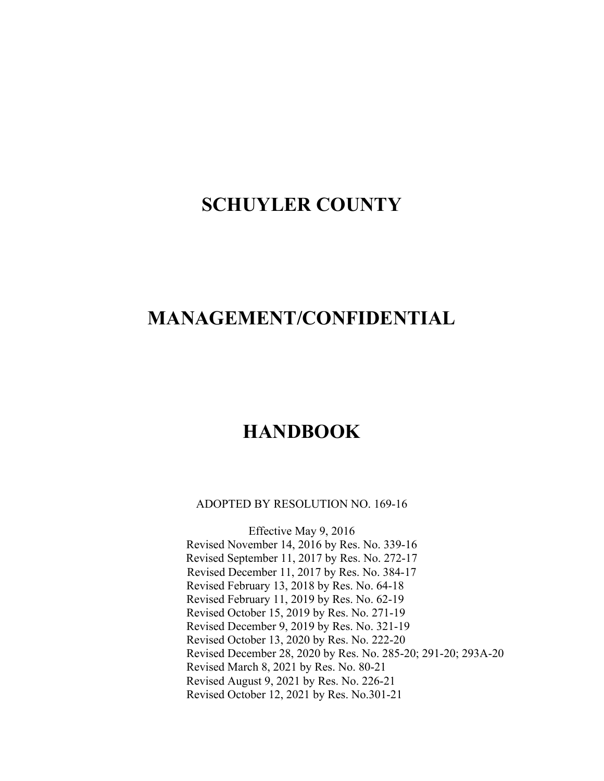# **SCHUYLER COUNTY**

# **MANAGEMENT/CONFIDENTIAL**

# **HANDBOOK**

ADOPTED BY RESOLUTION NO. 169-16

Effective May 9, 2016 Revised November 14, 2016 by Res. No. 339-16 Revised September 11, 2017 by Res. No. 272-17 Revised December 11, 2017 by Res. No. 384-17 Revised February 13, 2018 by Res. No. 64-18 Revised February 11, 2019 by Res. No. 62-19 Revised October 15, 2019 by Res. No. 271-19 Revised December 9, 2019 by Res. No. 321-19 Revised October 13, 2020 by Res. No. 222-20 Revised December 28, 2020 by Res. No. 285-20; 291-20; 293A-20 Revised March 8, 2021 by Res. No. 80-21 Revised August 9, 2021 by Res. No. 226-21 Revised October 12, 2021 by Res. No.301-21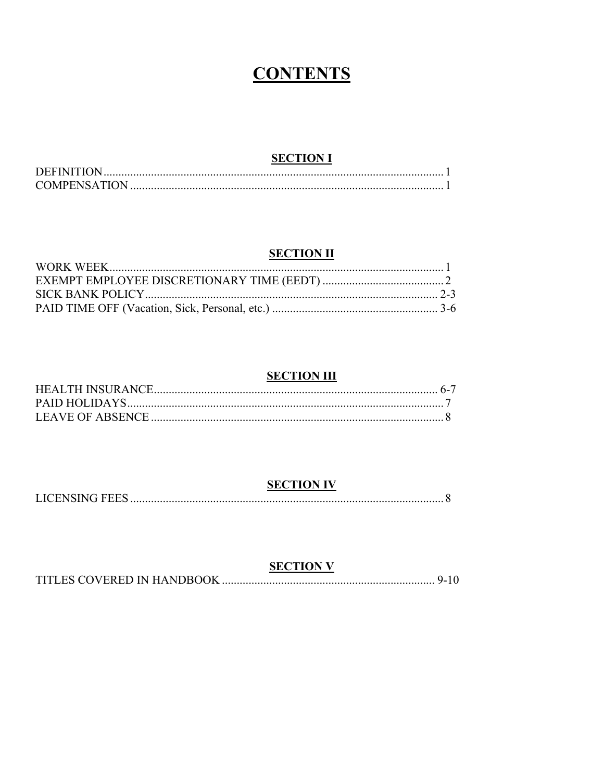# **CONTENTS**

# **SECTION I**

| <b>COMPENSATION</b> |  |
|---------------------|--|

### **SECTION II**

# **SECTION III**

# **SECTION IV**

|--|

| <b>SECTION V</b> |  |
|------------------|--|
|                  |  |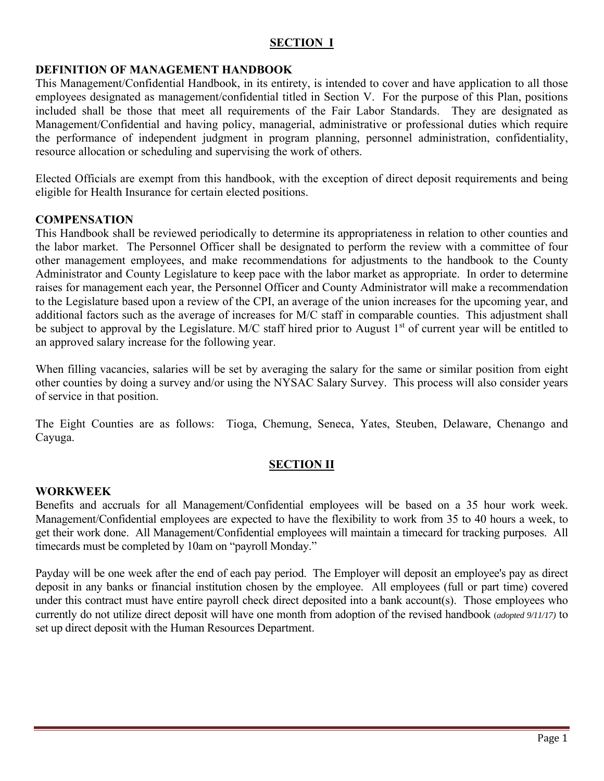### **SECTION I**

### **DEFINITION OF MANAGEMENT HANDBOOK**

This Management/Confidential Handbook, in its entirety, is intended to cover and have application to all those employees designated as management/confidential titled in Section V. For the purpose of this Plan, positions included shall be those that meet all requirements of the Fair Labor Standards. They are designated as Management/Confidential and having policy, managerial, administrative or professional duties which require the performance of independent judgment in program planning, personnel administration, confidentiality, resource allocation or scheduling and supervising the work of others.

Elected Officials are exempt from this handbook, with the exception of direct deposit requirements and being eligible for Health Insurance for certain elected positions.

### **COMPENSATION**

This Handbook shall be reviewed periodically to determine its appropriateness in relation to other counties and the labor market. The Personnel Officer shall be designated to perform the review with a committee of four other management employees, and make recommendations for adjustments to the handbook to the County Administrator and County Legislature to keep pace with the labor market as appropriate. In order to determine raises for management each year, the Personnel Officer and County Administrator will make a recommendation to the Legislature based upon a review of the CPI, an average of the union increases for the upcoming year, and additional factors such as the average of increases for M/C staff in comparable counties.This adjustment shall be subject to approval by the Legislature. M/C staff hired prior to August  $1<sup>st</sup>$  of current year will be entitled to an approved salary increase for the following year.

When filling vacancies, salaries will be set by averaging the salary for the same or similar position from eight other counties by doing a survey and/or using the NYSAC Salary Survey. This process will also consider years of service in that position.

The Eight Counties are as follows: Tioga, Chemung, Seneca, Yates, Steuben, Delaware, Chenango and Cayuga.

### **SECTION II**

### **WORKWEEK**

Benefits and accruals for all Management/Confidential employees will be based on a 35 hour work week. Management/Confidential employees are expected to have the flexibility to work from 35 to 40 hours a week, to get their work done. All Management/Confidential employees will maintain a timecard for tracking purposes. All timecards must be completed by 10am on "payroll Monday."

Payday will be one week after the end of each pay period. The Employer will deposit an employee's pay as direct deposit in any banks or financial institution chosen by the employee. All employees (full or part time) covered under this contract must have entire payroll check direct deposited into a bank account(s). Those employees who currently do not utilize direct deposit will have one month from adoption of the revised handbook (*adopted 9/11/17)* to set up direct deposit with the Human Resources Department.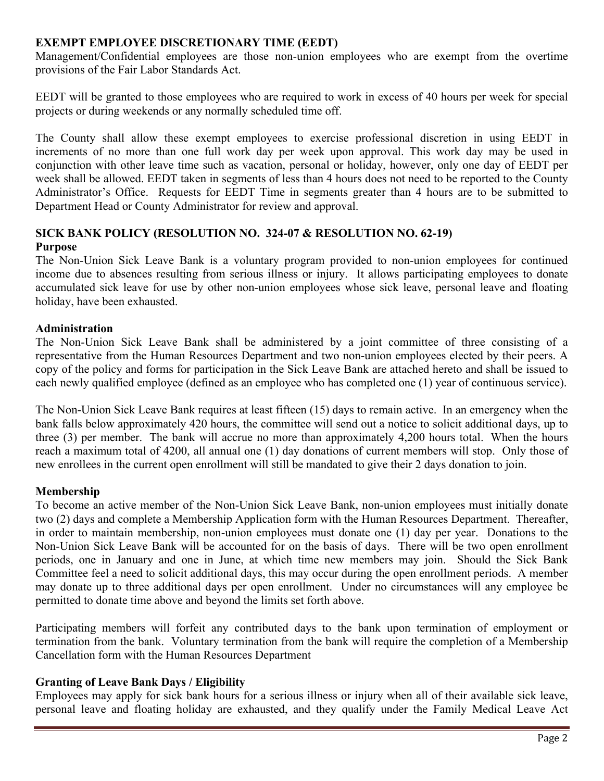### **EXEMPT EMPLOYEE DISCRETIONARY TIME (EEDT)**

Management/Confidential employees are those non-union employees who are exempt from the overtime provisions of the Fair Labor Standards Act.

EEDT will be granted to those employees who are required to work in excess of 40 hours per week for special projects or during weekends or any normally scheduled time off.

The County shall allow these exempt employees to exercise professional discretion in using EEDT in increments of no more than one full work day per week upon approval. This work day may be used in conjunction with other leave time such as vacation, personal or holiday, however, only one day of EEDT per week shall be allowed. EEDT taken in segments of less than 4 hours does not need to be reported to the County Administrator's Office. Requests for EEDT Time in segments greater than 4 hours are to be submitted to Department Head or County Administrator for review and approval.

### **SICK BANK POLICY (RESOLUTION NO. 324-07 & RESOLUTION NO. 62-19) Purpose**

The Non-Union Sick Leave Bank is a voluntary program provided to non-union employees for continued income due to absences resulting from serious illness or injury. It allows participating employees to donate accumulated sick leave for use by other non-union employees whose sick leave, personal leave and floating holiday, have been exhausted.

### **Administration**

The Non-Union Sick Leave Bank shall be administered by a joint committee of three consisting of a representative from the Human Resources Department and two non-union employees elected by their peers. A copy of the policy and forms for participation in the Sick Leave Bank are attached hereto and shall be issued to each newly qualified employee (defined as an employee who has completed one (1) year of continuous service).

The Non-Union Sick Leave Bank requires at least fifteen (15) days to remain active. In an emergency when the bank falls below approximately 420 hours, the committee will send out a notice to solicit additional days, up to three (3) per member. The bank will accrue no more than approximately 4,200 hours total. When the hours reach a maximum total of 4200, all annual one (1) day donations of current members will stop. Only those of new enrollees in the current open enrollment will still be mandated to give their 2 days donation to join.

# **Membership**

To become an active member of the Non-Union Sick Leave Bank, non-union employees must initially donate two (2) days and complete a Membership Application form with the Human Resources Department. Thereafter, in order to maintain membership, non-union employees must donate one (1) day per year. Donations to the Non-Union Sick Leave Bank will be accounted for on the basis of days. There will be two open enrollment periods, one in January and one in June, at which time new members may join. Should the Sick Bank Committee feel a need to solicit additional days, this may occur during the open enrollment periods. A member may donate up to three additional days per open enrollment. Under no circumstances will any employee be permitted to donate time above and beyond the limits set forth above.

Participating members will forfeit any contributed days to the bank upon termination of employment or termination from the bank. Voluntary termination from the bank will require the completion of a Membership Cancellation form with the Human Resources Department

### **Granting of Leave Bank Days / Eligibility**

Employees may apply for sick bank hours for a serious illness or injury when all of their available sick leave, personal leave and floating holiday are exhausted, and they qualify under the Family Medical Leave Act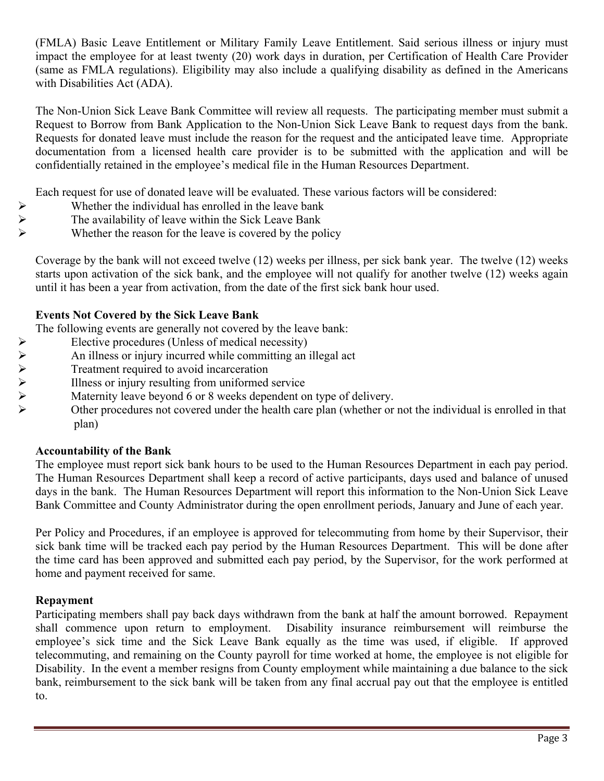(FMLA) Basic Leave Entitlement or Military Family Leave Entitlement. Said serious illness or injury must impact the employee for at least twenty (20) work days in duration, per Certification of Health Care Provider (same as FMLA regulations). Eligibility may also include a qualifying disability as defined in the Americans with Disabilities Act (ADA).

The Non-Union Sick Leave Bank Committee will review all requests. The participating member must submit a Request to Borrow from Bank Application to the Non-Union Sick Leave Bank to request days from the bank. Requests for donated leave must include the reason for the request and the anticipated leave time. Appropriate documentation from a licensed health care provider is to be submitted with the application and will be confidentially retained in the employee's medical file in the Human Resources Department.

Each request for use of donated leave will be evaluated. These various factors will be considered:

- 
- Whether the individual has enrolled in the leave bank<br>  $\triangleright$  The availability of leave within the Sick Leave Bank<br>
Whether the reason for the leave is covered by the pol The availability of leave within the Sick Leave Bank
	- Whether the reason for the leave is covered by the policy

Coverage by the bank will not exceed twelve (12) weeks per illness, per sick bank year. The twelve (12) weeks starts upon activation of the sick bank, and the employee will not qualify for another twelve (12) weeks again until it has been a year from activation, from the date of the first sick bank hour used.

# **Events Not Covered by the Sick Leave Bank**

The following events are generally not covered by the leave bank:

- 
- Elective procedures (Unless of medical necessity)<br>
An illness or injury incurred while committing an <br>
Freatment required to avoid incarceration<br>
Illness or injury resulting from uniformed service<br>
Maternity leave beyond 6 An illness or injury incurred while committing an illegal act
	- Treatment required to avoid incarceration
	- Illness or injury resulting from uniformed service
	- Maternity leave beyond 6 or 8 weeks dependent on type of delivery.
		- Other procedures not covered under the health care plan (whether or not the individual is enrolled in that plan)

# **Accountability of the Bank**

The employee must report sick bank hours to be used to the Human Resources Department in each pay period. The Human Resources Department shall keep a record of active participants, days used and balance of unused days in the bank. The Human Resources Department will report this information to the Non-Union Sick Leave Bank Committee and County Administrator during the open enrollment periods, January and June of each year.

Per Policy and Procedures, if an employee is approved for telecommuting from home by their Supervisor, their sick bank time will be tracked each pay period by the Human Resources Department. This will be done after the time card has been approved and submitted each pay period, by the Supervisor, for the work performed at home and payment received for same.

### **Repayment**

Participating members shall pay back days withdrawn from the bank at half the amount borrowed. Repayment shall commence upon return to employment. Disability insurance reimbursement will reimburse the employee's sick time and the Sick Leave Bank equally as the time was used, if eligible. If approved telecommuting, and remaining on the County payroll for time worked at home, the employee is not eligible for Disability. In the event a member resigns from County employment while maintaining a due balance to the sick bank, reimbursement to the sick bank will be taken from any final accrual pay out that the employee is entitled to.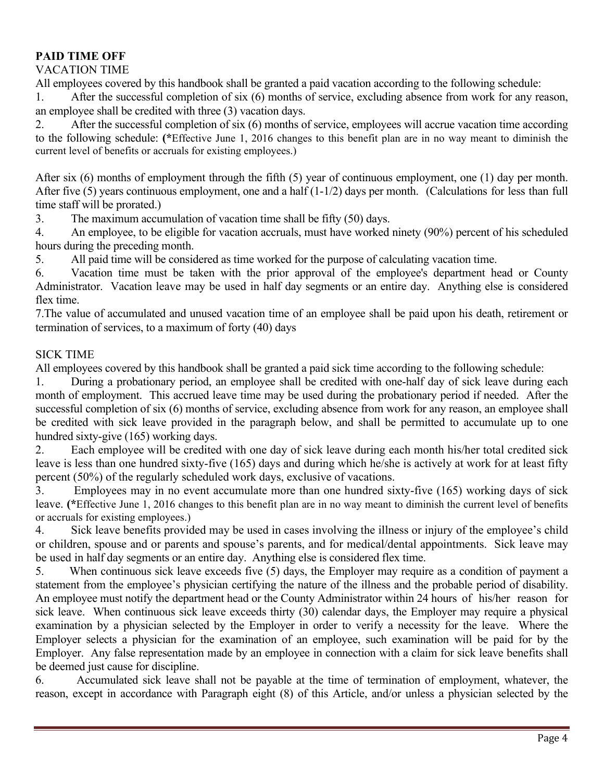### **PAID TIME OFF**

### VACATION TIME

All employees covered by this handbook shall be granted a paid vacation according to the following schedule:

1. After the successful completion of six (6) months of service, excluding absence from work for any reason, an employee shall be credited with three (3) vacation days.

2. After the successful completion of six (6) months of service, employees will accrue vacation time according to the following schedule: **(\***Effective June 1, 2016 changes to this benefit plan are in no way meant to diminish the current level of benefits or accruals for existing employees.)

After six (6) months of employment through the fifth (5) year of continuous employment, one (1) day per month. After five (5) years continuous employment, one and a half (1-1/2) days per month.(Calculations for less than full time staff will be prorated.)

3. The maximum accumulation of vacation time shall be fifty (50) days.

4. An employee, to be eligible for vacation accruals, must have worked ninety (90%) percent of his scheduled hours during the preceding month.

5. All paid time will be considered as time worked for the purpose of calculating vacation time.

6. Vacation time must be taken with the prior approval of the employee's department head or County Administrator. Vacation leave may be used in half day segments or an entire day. Anything else is considered flex time.

7.The value of accumulated and unused vacation time of an employee shall be paid upon his death, retirement or termination of services, to a maximum of forty (40) days

### SICK TIME

All employees covered by this handbook shall be granted a paid sick time according to the following schedule:

1. During a probationary period, an employee shall be credited with one-half day of sick leave during each month of employment. This accrued leave time may be used during the probationary period if needed. After the successful completion of six (6) months of service, excluding absence from work for any reason, an employee shall be credited with sick leave provided in the paragraph below, and shall be permitted to accumulate up to one hundred sixty-give (165) working days.

2. Each employee will be credited with one day of sick leave during each month his/her total credited sick leave is less than one hundred sixty-five (165) days and during which he/she is actively at work for at least fifty percent (50%) of the regularly scheduled work days, exclusive of vacations.

3. Employees may in no event accumulate more than one hundred sixty-five (165) working days of sick leave. **(\***Effective June 1, 2016 changes to this benefit plan are in no way meant to diminish the current level of benefits or accruals for existing employees.)

4. Sick leave benefits provided may be used in cases involving the illness or injury of the employee's child or children, spouse and or parents and spouse's parents, and for medical/dental appointments. Sick leave may be used in half day segments or an entire day. Anything else is considered flex time.

5. When continuous sick leave exceeds five (5) days, the Employer may require as a condition of payment a statement from the employee's physician certifying the nature of the illness and the probable period of disability. An employee must notify the department head or the County Administrator within 24 hours of his/her reason for sick leave. When continuous sick leave exceeds thirty (30) calendar days, the Employer may require a physical examination by a physician selected by the Employer in order to verify a necessity for the leave. Where the Employer selects a physician for the examination of an employee, such examination will be paid for by the Employer. Any false representation made by an employee in connection with a claim for sick leave benefits shall be deemed just cause for discipline.

6. Accumulated sick leave shall not be payable at the time of termination of employment, whatever, the reason, except in accordance with Paragraph eight (8) of this Article, and/or unless a physician selected by the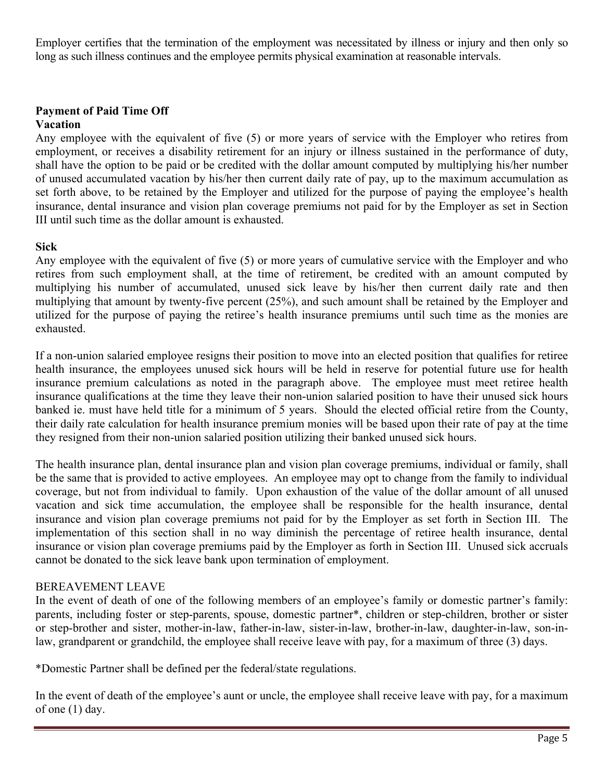Employer certifies that the termination of the employment was necessitated by illness or injury and then only so long as such illness continues and the employee permits physical examination at reasonable intervals.

# **Payment of Paid Time Off**

### **Vacation**

Any employee with the equivalent of five (5) or more years of service with the Employer who retires from employment, or receives a disability retirement for an injury or illness sustained in the performance of duty, shall have the option to be paid or be credited with the dollar amount computed by multiplying his/her number of unused accumulated vacation by his/her then current daily rate of pay, up to the maximum accumulation as set forth above, to be retained by the Employer and utilized for the purpose of paying the employee's health insurance, dental insurance and vision plan coverage premiums not paid for by the Employer as set in Section III until such time as the dollar amount is exhausted.

### **Sick**

Any employee with the equivalent of five (5) or more years of cumulative service with the Employer and who retires from such employment shall, at the time of retirement, be credited with an amount computed by multiplying his number of accumulated, unused sick leave by his/her then current daily rate and then multiplying that amount by twenty-five percent (25%), and such amount shall be retained by the Employer and utilized for the purpose of paying the retiree's health insurance premiums until such time as the monies are exhausted.

If a non-union salaried employee resigns their position to move into an elected position that qualifies for retiree health insurance, the employees unused sick hours will be held in reserve for potential future use for health insurance premium calculations as noted in the paragraph above. The employee must meet retiree health insurance qualifications at the time they leave their non-union salaried position to have their unused sick hours banked ie. must have held title for a minimum of 5 years. Should the elected official retire from the County, their daily rate calculation for health insurance premium monies will be based upon their rate of pay at the time they resigned from their non-union salaried position utilizing their banked unused sick hours.

The health insurance plan, dental insurance plan and vision plan coverage premiums, individual or family, shall be the same that is provided to active employees. An employee may opt to change from the family to individual coverage, but not from individual to family. Upon exhaustion of the value of the dollar amount of all unused vacation and sick time accumulation, the employee shall be responsible for the health insurance, dental insurance and vision plan coverage premiums not paid for by the Employer as set forth in Section III. The implementation of this section shall in no way diminish the percentage of retiree health insurance, dental insurance or vision plan coverage premiums paid by the Employer as forth in Section III. Unused sick accruals cannot be donated to the sick leave bank upon termination of employment.

# BEREAVEMENT LEAVE

In the event of death of one of the following members of an employee's family or domestic partner's family: parents, including foster or step-parents, spouse, domestic partner\*, children or step-children, brother or sister or step-brother and sister, mother-in-law, father-in-law, sister-in-law, brother-in-law, daughter-in-law, son-inlaw, grandparent or grandchild, the employee shall receive leave with pay, for a maximum of three (3) days.

\*Domestic Partner shall be defined per the federal/state regulations.

In the event of death of the employee's aunt or uncle, the employee shall receive leave with pay, for a maximum of one (1) day.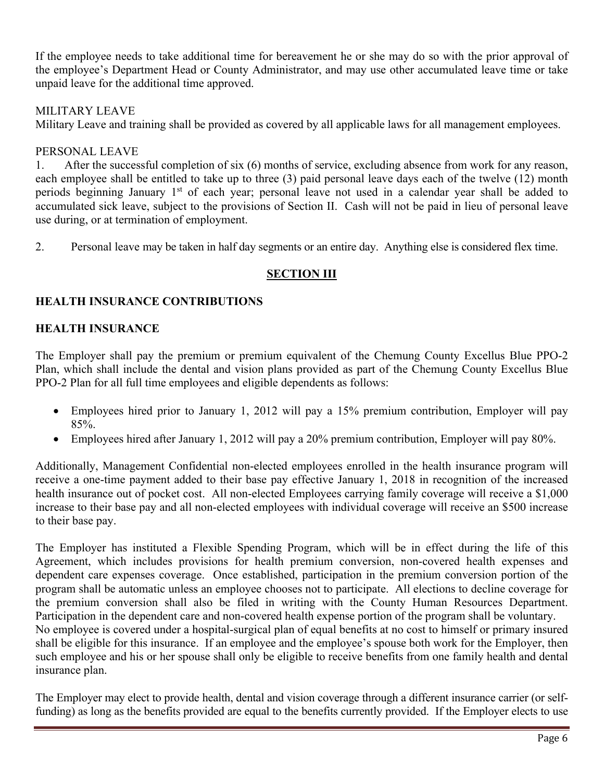If the employee needs to take additional time for bereavement he or she may do so with the prior approval of the employee's Department Head or County Administrator, and may use other accumulated leave time or take unpaid leave for the additional time approved.

# MILITARY LEAVE

Military Leave and training shall be provided as covered by all applicable laws for all management employees.

# PERSONAL LEAVE

1. After the successful completion of six (6) months of service, excluding absence from work for any reason, each employee shall be entitled to take up to three (3) paid personal leave days each of the twelve (12) month periods beginning January 1st of each year; personal leave not used in a calendar year shall be added to accumulated sick leave, subject to the provisions of Section II. Cash will not be paid in lieu of personal leave use during, or at termination of employment.

2. Personal leave may be taken in half day segments or an entire day. Anything else is considered flex time.

# **SECTION III**

# **HEALTH INSURANCE CONTRIBUTIONS**

# **HEALTH INSURANCE**

The Employer shall pay the premium or premium equivalent of the Chemung County Excellus Blue PPO-2 Plan, which shall include the dental and vision plans provided as part of the Chemung County Excellus Blue PPO-2 Plan for all full time employees and eligible dependents as follows:

- Employees hired prior to January 1, 2012 will pay a 15% premium contribution, Employer will pay 85%.
- Employees hired after January 1, 2012 will pay a 20% premium contribution, Employer will pay 80%.

Additionally, Management Confidential non-elected employees enrolled in the health insurance program will receive a one-time payment added to their base pay effective January 1, 2018 in recognition of the increased health insurance out of pocket cost. All non-elected Employees carrying family coverage will receive a \$1,000 increase to their base pay and all non-elected employees with individual coverage will receive an \$500 increase to their base pay.

The Employer has instituted a Flexible Spending Program, which will be in effect during the life of this Agreement, which includes provisions for health premium conversion, non-covered health expenses and dependent care expenses coverage. Once established, participation in the premium conversion portion of the program shall be automatic unless an employee chooses not to participate. All elections to decline coverage for the premium conversion shall also be filed in writing with the County Human Resources Department. Participation in the dependent care and non-covered health expense portion of the program shall be voluntary. No employee is covered under a hospital-surgical plan of equal benefits at no cost to himself or primary insured shall be eligible for this insurance. If an employee and the employee's spouse both work for the Employer, then such employee and his or her spouse shall only be eligible to receive benefits from one family health and dental insurance plan.

The Employer may elect to provide health, dental and vision coverage through a different insurance carrier (or selffunding) as long as the benefits provided are equal to the benefits currently provided. If the Employer elects to use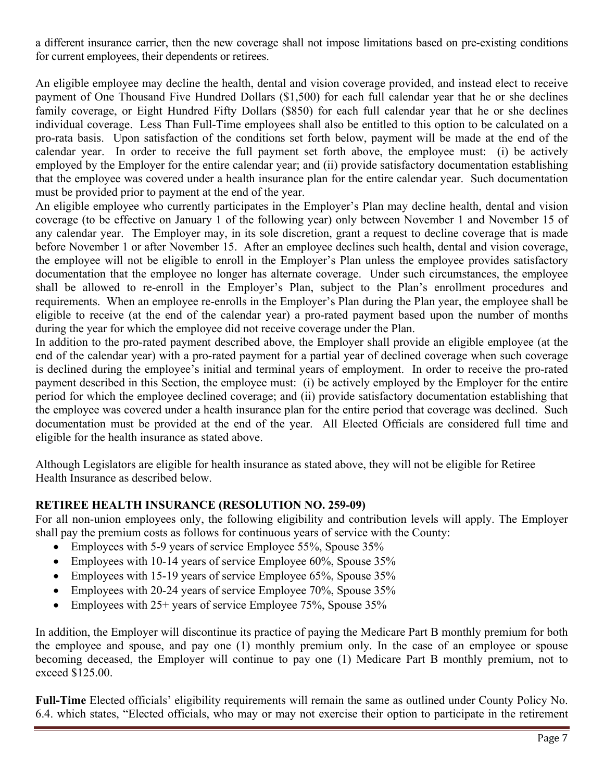a different insurance carrier, then the new coverage shall not impose limitations based on pre-existing conditions for current employees, their dependents or retirees.

An eligible employee may decline the health, dental and vision coverage provided, and instead elect to receive payment of One Thousand Five Hundred Dollars (\$1,500) for each full calendar year that he or she declines family coverage, or Eight Hundred Fifty Dollars (\$850) for each full calendar year that he or she declines individual coverage. Less Than Full-Time employees shall also be entitled to this option to be calculated on a pro-rata basis. Upon satisfaction of the conditions set forth below, payment will be made at the end of the calendar year. In order to receive the full payment set forth above, the employee must: (i) be actively employed by the Employer for the entire calendar year; and (ii) provide satisfactory documentation establishing that the employee was covered under a health insurance plan for the entire calendar year. Such documentation must be provided prior to payment at the end of the year.

An eligible employee who currently participates in the Employer's Plan may decline health, dental and vision coverage (to be effective on January 1 of the following year) only between November 1 and November 15 of any calendar year. The Employer may, in its sole discretion, grant a request to decline coverage that is made before November 1 or after November 15. After an employee declines such health, dental and vision coverage, the employee will not be eligible to enroll in the Employer's Plan unless the employee provides satisfactory documentation that the employee no longer has alternate coverage. Under such circumstances, the employee shall be allowed to re-enroll in the Employer's Plan, subject to the Plan's enrollment procedures and requirements. When an employee re-enrolls in the Employer's Plan during the Plan year, the employee shall be eligible to receive (at the end of the calendar year) a pro-rated payment based upon the number of months during the year for which the employee did not receive coverage under the Plan.

In addition to the pro-rated payment described above, the Employer shall provide an eligible employee (at the end of the calendar year) with a pro-rated payment for a partial year of declined coverage when such coverage is declined during the employee's initial and terminal years of employment. In order to receive the pro-rated payment described in this Section, the employee must: (i) be actively employed by the Employer for the entire period for which the employee declined coverage; and (ii) provide satisfactory documentation establishing that the employee was covered under a health insurance plan for the entire period that coverage was declined. Such documentation must be provided at the end of the year. All Elected Officials are considered full time and eligible for the health insurance as stated above.

Although Legislators are eligible for health insurance as stated above, they will not be eligible for Retiree Health Insurance as described below.

# **RETIREE HEALTH INSURANCE (RESOLUTION NO. 259-09)**

For all non-union employees only, the following eligibility and contribution levels will apply. The Employer shall pay the premium costs as follows for continuous years of service with the County:

- Employees with 5-9 years of service Employee 55%, Spouse 35%
- Employees with 10-14 years of service Employee 60%, Spouse 35%
- Employees with 15-19 years of service Employee 65%, Spouse 35%
- Employees with 20-24 years of service Employee 70%, Spouse 35%
- Employees with 25+ years of service Employee 75%, Spouse 35%

In addition, the Employer will discontinue its practice of paying the Medicare Part B monthly premium for both the employee and spouse, and pay one (1) monthly premium only. In the case of an employee or spouse becoming deceased, the Employer will continue to pay one (1) Medicare Part B monthly premium, not to exceed \$125.00.

**Full-Time** Elected officials' eligibility requirements will remain the same as outlined under County Policy No. 6.4. which states, "Elected officials, who may or may not exercise their option to participate in the retirement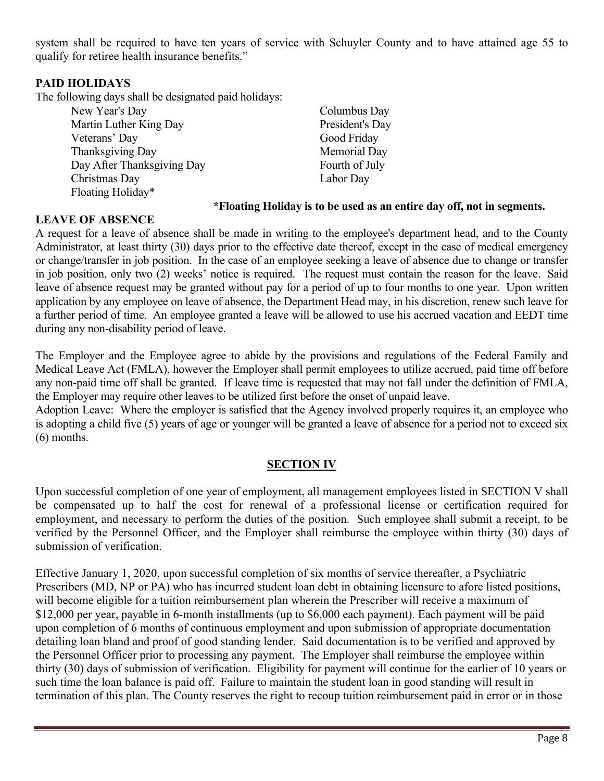system shall be required to have ten years of service with Schuyler County and to have attained age 55 to qualify for retiree health insurance benefits."

### **PAID HOLIDAYS**

The following days shall be designated paid holidays:

| New Year's Day             | Columbus Day    |
|----------------------------|-----------------|
| Martin Luther King Day     | President's Day |
| Veterans' Day              | Good Friday     |
| Thanksgiving Day           | Memorial Day    |
| Day After Thanksgiving Day | Fourth of July  |
| Christmas Day              | Labor Day       |
| Floating Holiday*          |                 |

### **\*Floating Holiday is to be used as an entire day off, not in segments.**

### **LEAVE OF ABSENCE**

A request for a leave of absence shall be made in writing to the employee's department head, and to the County Administrator, at least thirty (30) days prior to the effective date thereof, except in the case of medical emergency or change/transfer in job position. In the case of an employee seeking a leave of absence due to change or transfer in job position, only two (2) weeks' notice is required. The request must contain the reason for the leave. Said leave of absence request may be granted without pay for a period of up to four months to one year. Upon written application by any employee on leave of absence, the Department Head may, in his discretion, renew such leave for a further period of time. An employee granted a leave will be allowed to use his accrued vacation and EEDT time during any non-disability period of leave.

The Employer and the Employee agree to abide by the provisions and regulations of the Federal Family and Medical Leave Act (FMLA), however the Employer shall permit employees to utilize accrued, paid time off before any non-paid time off shall be granted. If leave time is requested that may not fall under the definition of FMLA, the Employer may require other leaves to be utilized first before the onset of unpaid leave.

Adoption Leave: Where the employer is satisfied that the Agency involved properly requires it, an employee who is adopting a child five (5) years of age or younger will be granted a leave of absence for a period not to exceed six (6) months.

### **SECTION IV**

Upon successful completion of one year of employment, all management employees listed in SECTION V shall be compensated up to half the cost for renewal of a professional license or certification required for employment, and necessary to perform the duties of the position. Such employee shall submit a receipt, to be verified by the Personnel Officer, and the Employer shall reimburse the employee within thirty (30) days of submission of verification.

Effective January 1, 2020, upon successful completion of six months of service thereafter, a Psychiatric Prescribers (MD, NP or PA) who has incurred student loan debt in obtaining licensure to afore listed positions, will become eligible for a tuition reimbursement plan wherein the Prescriber will receive a maximum of \$12,000 per year, payable in 6-month installments (up to \$6,000 each payment). Each payment will be paid upon completion of 6 months of continuous employment and upon submission of appropriate documentation detailing loan bland and proof of good standing lender. Said documentation is to be verified and approved by the Personnel Officer prior to processing any payment. The Employer shall reimburse the employee within thirty (30) days of submission of verification. Eligibility for payment will continue for the earlier of 10 years or such time the loan balance is paid off. Failure to maintain the student loan in good standing will result in termination of this plan. The County reserves the right to recoup tuition reimbursement paid in error or in those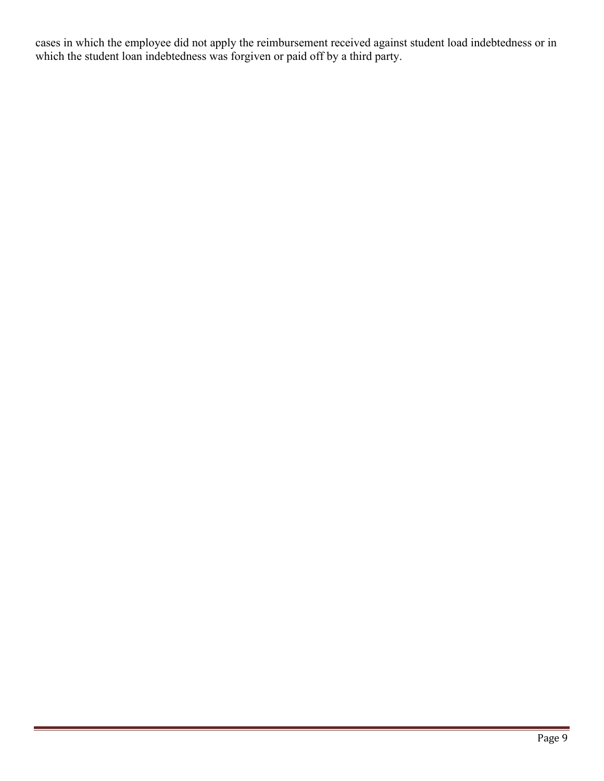cases in which the employee did not apply the reimbursement received against student load indebtedness or in which the student loan indebtedness was forgiven or paid off by a third party.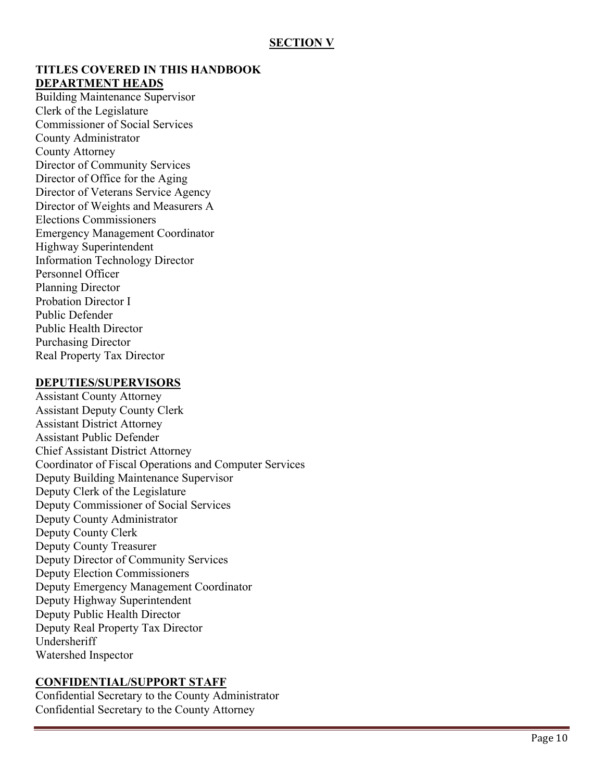### **TITLES COVERED IN THIS HANDBOOK DEPARTMENT HEADS**

Building Maintenance Supervisor Clerk of the Legislature Commissioner of Social Services County Administrator County Attorney Director of Community Services Director of Office for the Aging Director of Veterans Service Agency Director of Weights and Measurers A Elections Commissioners Emergency Management Coordinator Highway Superintendent Information Technology Director Personnel Officer Planning Director Probation Director I Public Defender Public Health Director Purchasing Director Real Property Tax Director

#### **DEPUTIES/SUPERVISORS**

Assistant County Attorney Assistant Deputy County Clerk Assistant District Attorney Assistant Public Defender Chief Assistant District Attorney Coordinator of Fiscal Operations and Computer Services Deputy Building Maintenance Supervisor Deputy Clerk of the Legislature Deputy Commissioner of Social Services Deputy County Administrator Deputy County Clerk Deputy County Treasurer Deputy Director of Community Services Deputy Election Commissioners Deputy Emergency Management Coordinator Deputy Highway Superintendent Deputy Public Health Director Deputy Real Property Tax Director Undersheriff Watershed Inspector

### **CONFIDENTIAL/SUPPORT STAFF**

Confidential Secretary to the County Administrator Confidential Secretary to the County Attorney